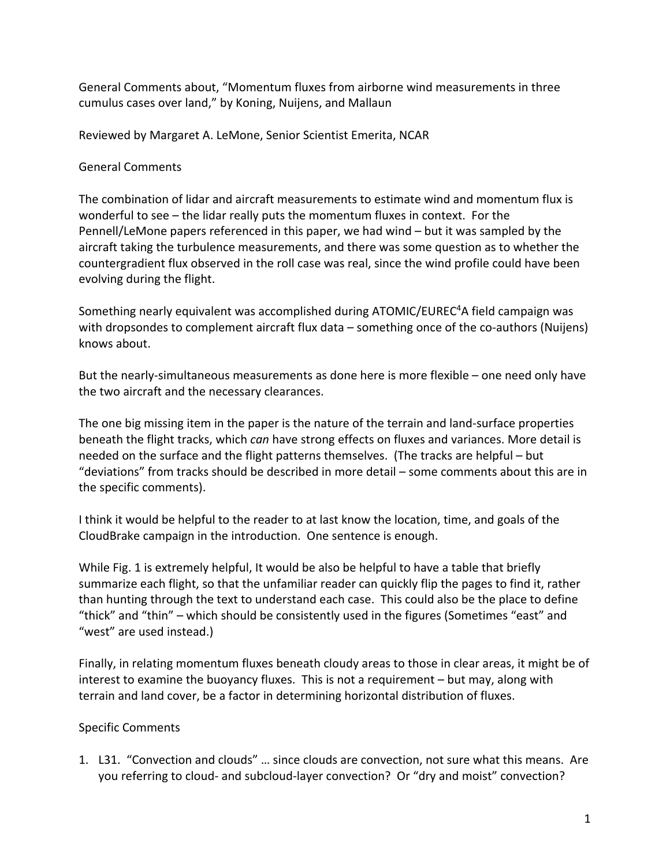General Comments about, "Momentum fluxes from airborne wind measurements in three cumulus cases over land," by Koning, Nuijens, and Mallaun

Reviewed by Margaret A. LeMone, Senior Scientist Emerita, NCAR

General Comments

The combination of lidar and aircraft measurements to estimate wind and momentum flux is wonderful to see – the lidar really puts the momentum fluxes in context. For the Pennell/LeMone papers referenced in this paper, we had wind – but it was sampled by the aircraft taking the turbulence measurements, and there was some question as to whether the countergradient flux observed in the roll case was real, since the wind profile could have been evolving during the flight.

Something nearly equivalent was accomplished during ATOMIC/EUREC<sup>4</sup>A field campaign was with dropsondes to complement aircraft flux data – something once of the co-authors (Nuijens) knows about.

But the nearly-simultaneous measurements as done here is more flexible – one need only have the two aircraft and the necessary clearances.

The one big missing item in the paper is the nature of the terrain and land-surface properties beneath the flight tracks, which *can* have strong effects on fluxes and variances. More detail is needed on the surface and the flight patterns themselves. (The tracks are helpful – but "deviations" from tracks should be described in more detail – some comments about this are in the specific comments).

I think it would be helpful to the reader to at last know the location, time, and goals of the CloudBrake campaign in the introduction. One sentence is enough.

While Fig. 1 is extremely helpful, It would be also be helpful to have a table that briefly summarize each flight, so that the unfamiliar reader can quickly flip the pages to find it, rather than hunting through the text to understand each case. This could also be the place to define "thick" and "thin" – which should be consistently used in the figures (Sometimes "east" and "west" are used instead.)

Finally, in relating momentum fluxes beneath cloudy areas to those in clear areas, it might be of interest to examine the buoyancy fluxes. This is not a requirement – but may, along with terrain and land cover, be a factor in determining horizontal distribution of fluxes.

## Specific Comments

1. L31. "Convection and clouds" … since clouds are convection, not sure what this means. Are you referring to cloud- and subcloud-layer convection? Or "dry and moist" convection?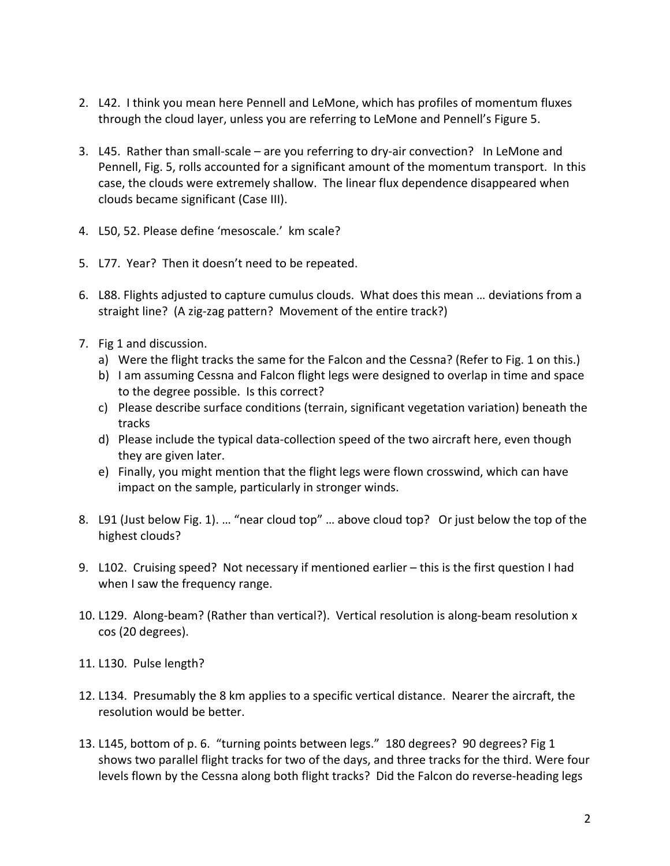- 2. L42. I think you mean here Pennell and LeMone, which has profiles of momentum fluxes through the cloud layer, unless you are referring to LeMone and Pennell's Figure 5.
- 3. L45. Rather than small-scale are you referring to dry-air convection? In LeMone and Pennell, Fig. 5, rolls accounted for a significant amount of the momentum transport. In this case, the clouds were extremely shallow. The linear flux dependence disappeared when clouds became significant (Case III).
- 4. L50, 52. Please define 'mesoscale.' km scale?
- 5. L77. Year? Then it doesn't need to be repeated.
- 6. L88. Flights adjusted to capture cumulus clouds. What does this mean … deviations from a straight line? (A zig-zag pattern? Movement of the entire track?)
- 7. Fig 1 and discussion.
	- a) Were the flight tracks the same for the Falcon and the Cessna? (Refer to Fig. 1 on this.)
	- b) I am assuming Cessna and Falcon flight legs were designed to overlap in time and space to the degree possible. Is this correct?
	- c) Please describe surface conditions (terrain, significant vegetation variation) beneath the tracks
	- d) Please include the typical data-collection speed of the two aircraft here, even though they are given later.
	- e) Finally, you might mention that the flight legs were flown crosswind, which can have impact on the sample, particularly in stronger winds.
- 8. L91 (Just below Fig. 1). … "near cloud top" … above cloud top? Or just below the top of the highest clouds?
- 9. L102. Cruising speed? Not necessary if mentioned earlier this is the first question I had when I saw the frequency range.
- 10. L129. Along-beam? (Rather than vertical?). Vertical resolution is along-beam resolution x cos (20 degrees).
- 11. L130. Pulse length?
- 12. L134. Presumably the 8 km applies to a specific vertical distance. Nearer the aircraft, the resolution would be better.
- 13. L145, bottom of p. 6. "turning points between legs." 180 degrees? 90 degrees? Fig 1 shows two parallel flight tracks for two of the days, and three tracks for the third. Were four levels flown by the Cessna along both flight tracks? Did the Falcon do reverse-heading legs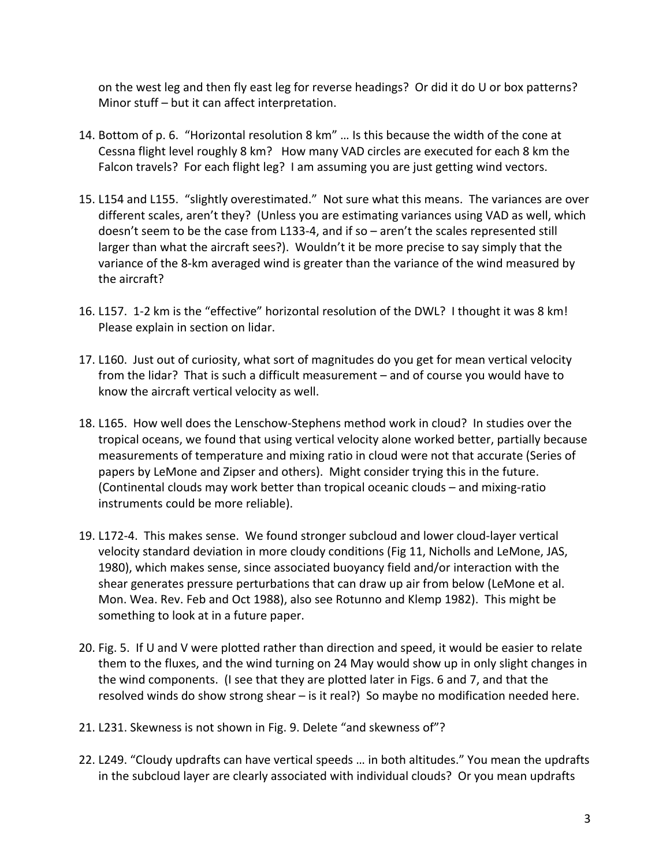on the west leg and then fly east leg for reverse headings? Or did it do U or box patterns? Minor stuff – but it can affect interpretation.

- 14. Bottom of p. 6. "Horizontal resolution 8 km" … Is this because the width of the cone at Cessna flight level roughly 8 km? How many VAD circles are executed for each 8 km the Falcon travels? For each flight leg? I am assuming you are just getting wind vectors.
- 15. L154 and L155. "slightly overestimated." Not sure what this means. The variances are over different scales, aren't they? (Unless you are estimating variances using VAD as well, which doesn't seem to be the case from L133-4, and if so – aren't the scales represented still larger than what the aircraft sees?). Wouldn't it be more precise to say simply that the variance of the 8-km averaged wind is greater than the variance of the wind measured by the aircraft?
- 16. L157. 1-2 km is the "effective" horizontal resolution of the DWL? I thought it was 8 km! Please explain in section on lidar.
- 17. L160. Just out of curiosity, what sort of magnitudes do you get for mean vertical velocity from the lidar? That is such a difficult measurement – and of course you would have to know the aircraft vertical velocity as well.
- 18. L165. How well does the Lenschow-Stephens method work in cloud? In studies over the tropical oceans, we found that using vertical velocity alone worked better, partially because measurements of temperature and mixing ratio in cloud were not that accurate (Series of papers by LeMone and Zipser and others). Might consider trying this in the future. (Continental clouds may work better than tropical oceanic clouds – and mixing-ratio instruments could be more reliable).
- 19. L172-4. This makes sense. We found stronger subcloud and lower cloud-layer vertical velocity standard deviation in more cloudy conditions (Fig 11, Nicholls and LeMone, JAS, 1980), which makes sense, since associated buoyancy field and/or interaction with the shear generates pressure perturbations that can draw up air from below (LeMone et al. Mon. Wea. Rev. Feb and Oct 1988), also see Rotunno and Klemp 1982). This might be something to look at in a future paper.
- 20. Fig. 5. If U and V were plotted rather than direction and speed, it would be easier to relate them to the fluxes, and the wind turning on 24 May would show up in only slight changes in the wind components. (I see that they are plotted later in Figs. 6 and 7, and that the resolved winds do show strong shear – is it real?) So maybe no modification needed here.
- 21. L231. Skewness is not shown in Fig. 9. Delete "and skewness of"?
- 22. L249. "Cloudy updrafts can have vertical speeds … in both altitudes." You mean the updrafts in the subcloud layer are clearly associated with individual clouds? Or you mean updrafts